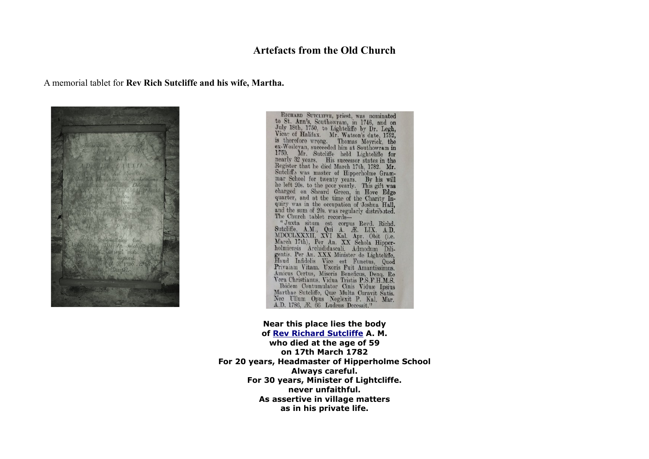## **Artefacts from the Old Church**

#### A memorial tablet for **Rev Rich Sutcliffe and his wife, Martha.**



RICHARD SUTCLIFFE, priest, was nominated<br>to St. Ann's, Southowram, in 1746, and on<br>July 18th, 1750, to Lightcliffe by Dr. Legh,<br>Vicar of Halifax. Mr. Watson's date, 1752,<br>is therefore wrong.<br>is wherein the Suthowram in<br>175 RICHARD SUTCLIFFE, priest, was nominated The Church tablet records—<br>"Juxta situm est corpus Revd. Richd.<br>Sutcliffe, A.M., Qui A. Æ. LIX. A.D.<br>MDCCLXXVII, XVI Kal. Apr. Obit (i.e.<br>March 17th), Per An. XX Schola Hipper-<br>holmiensis Archididascali. Admodum Dili-<br>gent Total Contumulator Cinis Victor (1.5.1.2.1.5.1.)<br>
Marthae Sutcliffe, Quæ Multa Curavit Satis.<br>
Neo Ullum Opus Neglexit P. Kal. Mar.<br>
A.D. 1786, Æ. 66 Ludens Decessit."

# **Near this place lies the body**

**of [Rev Richard Sutcliffe](http://freepages.history.rootsweb.ancestry.com/~calderdalecompanion/mms52.html#s762) A. M. who died at the age of 59 on 17th March 1782 For 20 years, Headmaster of Hipperholme School Always careful. For 30 years, Minister of Lightcliffe. never unfaithful. As assertive in village matters as in his private life.**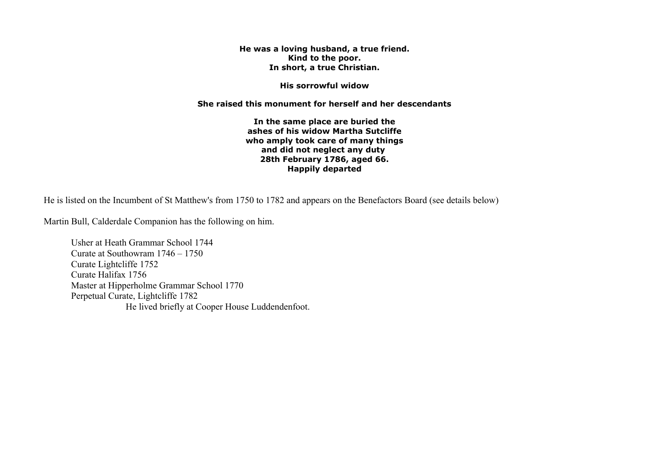**He was a loving husband, a true friend. Kind to the poor. In short, a true Christian.**

**His sorrowful widow**

**She raised this monument for herself and her descendants**

**In the same place are buried the ashes of his widow Martha Sutcliffe who amply took care of many things and did not neglect any duty 28th February 1786, aged 66. Happily departed**

He is listed on the Incumbent of St Matthew's from 1750 to 1782 and appears on the Benefactors Board (see details below)

Martin Bull, Calderdale Companion has the following on him.

Usher at Heath Grammar School 1744 Curate at Southowram 1746 – 1750 Curate Lightcliffe 1752 Curate Halifax 1756 Master at Hipperholme Grammar School 1770 Perpetual Curate, Lightcliffe 1782 He lived briefly at Cooper House Luddendenfoot.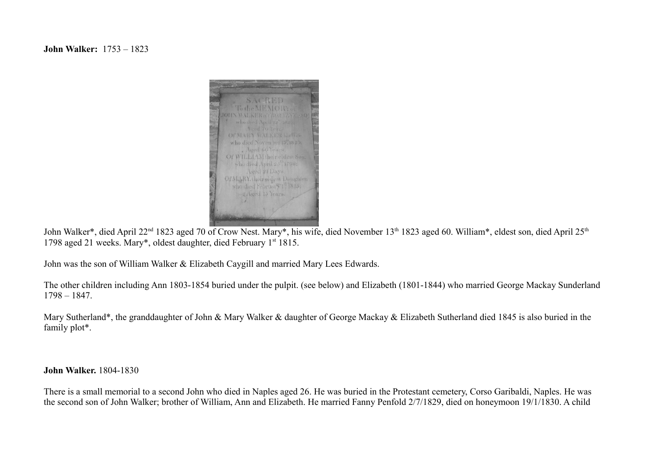### **John Walker:** 1753 – 1823



John Walker\*, died April 22<sup>nd</sup> 1823 aged 70 of Crow Nest. Mary\*, his wife, died November 13<sup>th</sup> 1823 aged 60. William\*, eldest son, died April 25<sup>th</sup> 1798 aged 21 weeks. Mary\*, oldest daughter, died February 1st 1815.

John was the son of William Walker & Elizabeth Caygill and married Mary Lees Edwards.

The other children including Ann 1803-1854 buried under the pulpit. (see below) and Elizabeth (1801-1844) who married George Mackay Sunderland 1798 – 1847.

Mary Sutherland\*, the granddaughter of John & Mary Walker & daughter of George Mackay & Elizabeth Sutherland died 1845 is also buried in the family plot\*.

**John Walker.** 1804-1830

There is a small memorial to a second John who died in Naples aged 26. He was buried in the Protestant cemetery, Corso Garibaldi, Naples. He was the second son of John Walker; brother of William, Ann and Elizabeth. He married Fanny Penfold 2/7/1829, died on honeymoon 19/1/1830. A child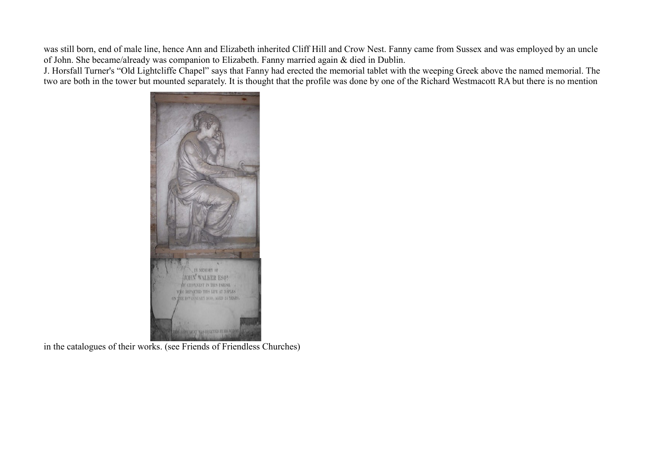was still born, end of male line, hence Ann and Elizabeth inherited Cliff Hill and Crow Nest. Fanny came from Sussex and was employed by an uncle of John. She became/already was companion to Elizabeth. Fanny married again & died in Dublin.

J. Horsfall Turner's "Old Lightcliffe Chapel" says that Fanny had erected the memorial tablet with the weeping Greek above the named memorial. The two are both in the tower but mounted separately. It is thought that the profile was done by one of the Richard Westmacott RA but there is no mention



in the catalogues of their works. (see Friends of Friendless Churches)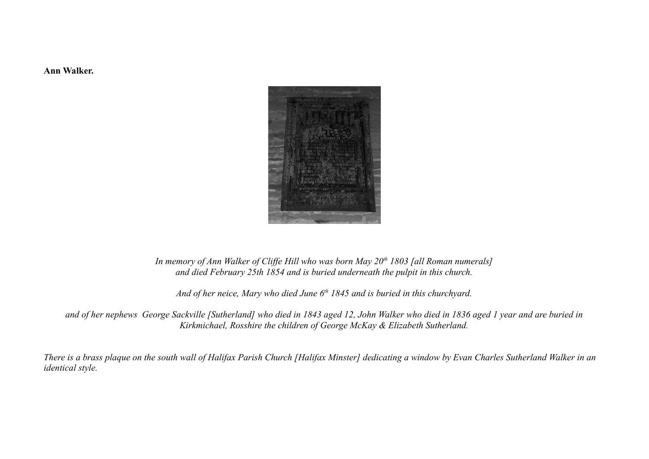**Ann Walker.**



#### *In memory of Ann Walker of Cliffe Hill who was born May 20th 1803 [all Roman numerals] and died February 25th 1854 and is buried underneath the pulpit in this church.*

*And of her neice, Mary who died June 6th 1845 and is buried in this churchyard.*

*and of her nephews George Sackville [Sutherland] who died in 1843 aged 12, John Walker who died in 1836 aged 1 year and are buried in Kirkmichael, Rosshire the children of George McKay & Elizabeth Sutherland.*

*There is a brass plaque on the south wall of Halifax Parish Church [Halifax Minster] dedicating a window by Evan Charles Sutherland Walker in an identical style.*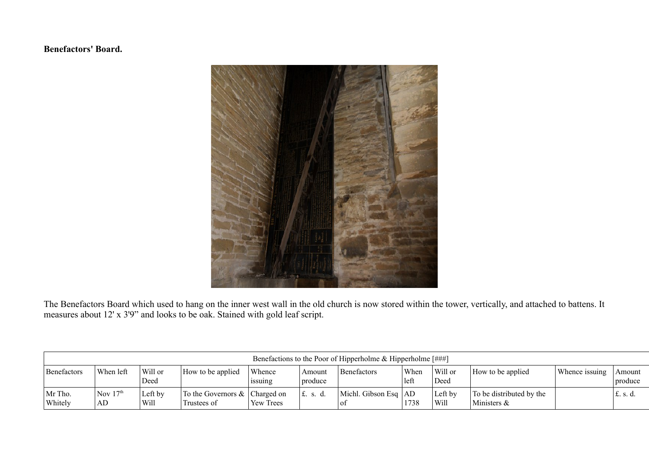## **Benefactors' Board.**



The Benefactors Board which used to hang on the inner west wall in the old church is now stored within the tower, vertically, and attached to battens. It measures about 12' x 3'9" and looks to be oak. Stained with gold leaf script.

| Benefactions to the Poor of Hipperholme & Hipperholme $[$ ###] |                  |                 |                                                 |                   |                   |                                                      |              |                 |                                         |                |                   |
|----------------------------------------------------------------|------------------|-----------------|-------------------------------------------------|-------------------|-------------------|------------------------------------------------------|--------------|-----------------|-----------------------------------------|----------------|-------------------|
| Benefactors                                                    | When left        | Will or<br>Deed | How to be applied                               | Whence<br>1SSUING | Amount<br>produce | Benefactors                                          | When<br>left | Will or<br>Deed | How to be applied                       | Whence issuing | Amount<br>produce |
| Mr Tho.<br>Whitely                                             | Nov $17th$<br>AD | Left by<br>Will | To the Governors $\&$ Charged on<br>Trustees of | Yew Trees         | $\pm$ . s. d.     | Michl. Gibson Esq $ AD $<br>$^{\circ}$ O1 $^{\circ}$ | 1738         | Left by<br>Will | To be distributed by the<br>Ministers & |                | $\pm$ . s. d.     |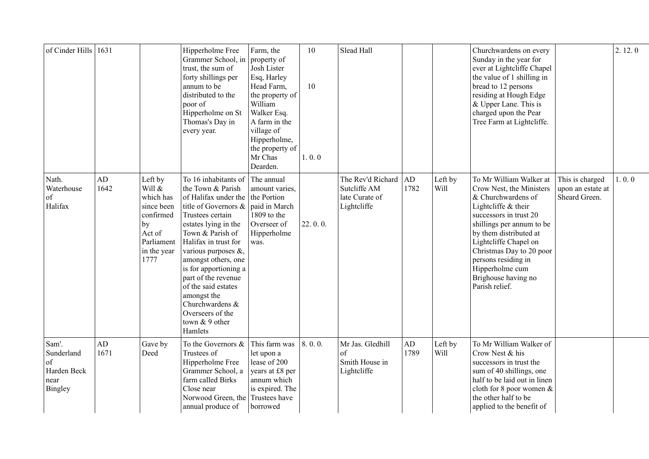| of Cinder Hills   1631                                      |            |                                                                                                                | Hipperholme Free<br>Grammer School, in<br>trust, the sum of<br>forty shillings per<br>annum to be<br>distributed to the<br>poor of<br>Hipperholme on St<br>Thomas's Day in<br>every year.                                                                                                                                                                                                    | Farm, the<br>property of<br>Josh Lister<br>Esq, Harley<br>Head Farm,<br>the property of<br>William<br>Walker Esq.<br>A farm in the<br>village of<br>Hipperholme,<br>the property of<br>Mr Chas<br>Dearden. | 10<br>10<br>1.0.0 | Slead Hall                                                         |            |                 | Churchwardens on every<br>Sunday in the year for<br>ever at Lightcliffe Chapel<br>the value of 1 shilling in<br>bread to 12 persons<br>residing at Hough Edge<br>& Upper Lane. This is<br>charged upon the Pear<br>Tree Farm at Lightcliffe.                                                                              |                                                       | 2.12.0 |
|-------------------------------------------------------------|------------|----------------------------------------------------------------------------------------------------------------|----------------------------------------------------------------------------------------------------------------------------------------------------------------------------------------------------------------------------------------------------------------------------------------------------------------------------------------------------------------------------------------------|------------------------------------------------------------------------------------------------------------------------------------------------------------------------------------------------------------|-------------------|--------------------------------------------------------------------|------------|-----------------|---------------------------------------------------------------------------------------------------------------------------------------------------------------------------------------------------------------------------------------------------------------------------------------------------------------------------|-------------------------------------------------------|--------|
| Nath.<br>Waterhouse<br>of<br>Halifax                        | AD<br>1642 | Left by<br>Will &<br>which has<br>since been<br>confirmed<br>by<br>Act of<br>Parliament<br>in the year<br>1777 | To 16 inhabitants of<br>the Town & Parish<br>of Halifax under the<br>title of Governors $\&$<br>Trustees certain<br>estates lying in the<br>Town & Parish of<br>Halifax in trust for<br>various purposes &,<br>amongst others, one<br>is for apportioning a<br>part of the revenue<br>of the said estates<br>amongst the<br>Churchwardens &<br>Overseers of the<br>town & 9 other<br>Hamlets | The annual<br>amount varies,<br>the Portion<br>paid in March<br>1809 to the<br>Overseer of<br>Hipperholme<br>was.                                                                                          | 22.0.0.           | The Rev'd Richard<br>Sutcliffe AM<br>late Curate of<br>Lightcliffe | AD<br>1782 | Left by<br>Will | To Mr William Walker at<br>Crow Nest, the Ministers<br>& Churchwardens of<br>Lightcliffe & their<br>successors in trust 20<br>shillings per annum to be<br>by them distributed at<br>Lightcliffe Chapel on<br>Christmas Day to 20 poor<br>persons residing in<br>Hipperholme cum<br>Brighouse having no<br>Parish relief. | This is charged<br>upon an estate at<br>Sheard Green. | 1.0.0  |
| Sam'.<br>Sunderland<br>of<br>Harden Beck<br>near<br>Bingley | AD<br>1671 | Gave by<br>Deed                                                                                                | To the Governors $\&$<br>Trustees of<br>Hipperholme Free<br>Grammer School, a<br>farm called Birks<br>Close near<br>Norwood Green, the Trustees have<br>annual produce of                                                                                                                                                                                                                    | This farm was<br>let upon a<br>lease of 200<br>years at £8 per<br>annum which<br>is expired. The<br>borrowed                                                                                               | 8.0.0.            | Mr Jas. Gledhill<br>of<br>Smith House in<br>Lightcliffe            | AD<br>1789 | Left by<br>Will | To Mr William Walker of<br>Crow Nest & his<br>successors in trust the<br>sum of 40 shillings, one<br>half to be laid out in linen<br>cloth for 8 poor women &<br>the other half to be<br>applied to the benefit of                                                                                                        |                                                       |        |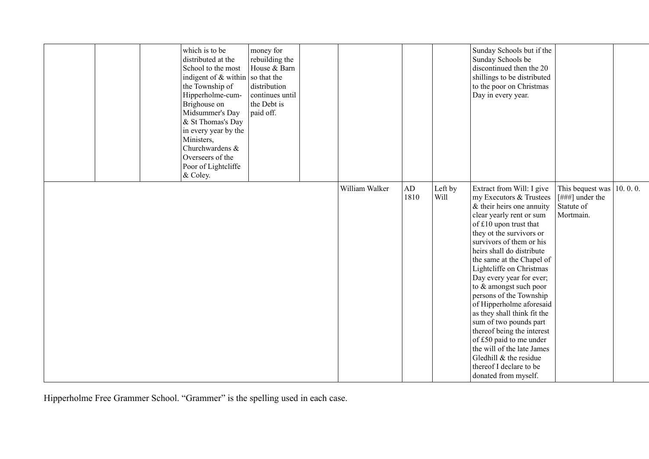| which is to be<br>distributed at the<br>School to the most<br>indigent of & within<br>the Township of<br>Hipperholme-cum-<br>Brighouse on<br>Midsummer's Day<br>& St Thomas's Day<br>in every year by the<br>Ministers,<br>Churchwardens &<br>Overseers of the<br>Poor of Lightcliffe<br>& Coley. | money for<br>rebuilding the<br>House & Barn<br>so that the<br>distribution<br>continues until<br>the Debt is<br>paid off. |                |                   |                 | Sunday Schools but if the<br>Sunday Schools be<br>discontinued then the 20<br>shillings to be distributed<br>to the poor on Christmas<br>Day in every year.                                                                                                                                                                                                                                                                                                                                                                                                                                                                     |                                                                     |         |
|---------------------------------------------------------------------------------------------------------------------------------------------------------------------------------------------------------------------------------------------------------------------------------------------------|---------------------------------------------------------------------------------------------------------------------------|----------------|-------------------|-----------------|---------------------------------------------------------------------------------------------------------------------------------------------------------------------------------------------------------------------------------------------------------------------------------------------------------------------------------------------------------------------------------------------------------------------------------------------------------------------------------------------------------------------------------------------------------------------------------------------------------------------------------|---------------------------------------------------------------------|---------|
|                                                                                                                                                                                                                                                                                                   |                                                                                                                           | William Walker | $\rm{AD}$<br>1810 | Left by<br>Will | Extract from Will: I give<br>my Executors & Trustees<br>& their heirs one annuity<br>clear yearly rent or sum<br>of £10 upon trust that<br>they ot the survivors or<br>survivors of them or his<br>heirs shall do distribute<br>the same at the Chapel of<br>Lightcliffe on Christmas<br>Day every year for ever;<br>to & amongst such poor<br>persons of the Township<br>of Hipperholme aforesaid<br>as they shall think fit the<br>sum of two pounds part<br>thereof being the interest<br>of £50 paid to me under<br>the will of the late James<br>Gledhill & the residue<br>thereof I declare to be<br>donated from myself. | This bequest was<br>[ $\#$ ##] under the<br>Statute of<br>Mortmain. | 10.0.0. |

Hipperholme Free Grammer School. "Grammer" is the spelling used in each case.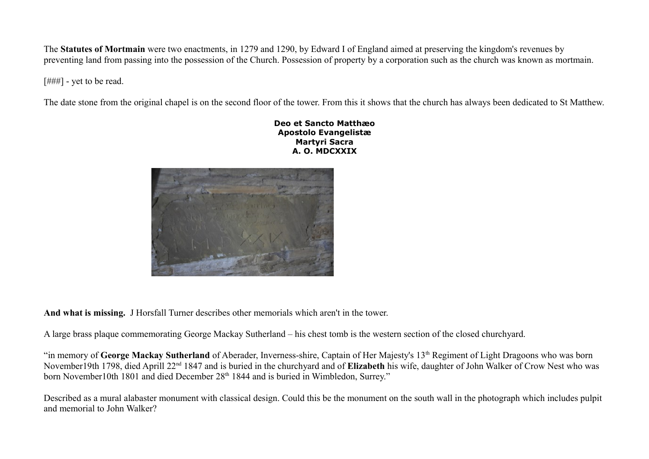The **Statutes of Mortmain** were two enactments, in 1279 and 1290, by Edward I of England aimed at preserving the kingdom's revenues by preventing land from passing into the possession of the Church. Possession of property by a corporation such as the church was known as mortmain.

[###] - yet to be read.

The date stone from the original chapel is on the second floor of the tower. From this it shows that the church has always been dedicated to St Matthew.

**Deo et Sancto Matthæo Apostolo Evangelistæ Martyri Sacra A. O. MDCXXIX**



**And what is missing.** J Horsfall Turner describes other memorials which aren't in the tower.

A large brass plaque commemorating George Mackay Sutherland – his chest tomb is the western section of the closed churchyard.

"in memory of George Mackay Sutherland of Aberader, Inverness-shire, Captain of Her Majesty's 13<sup>th</sup> Regiment of Light Dragoons who was born November19th 1798, died Aprill 22nd 1847 and is buried in the churchyard and of **Elizabeth** his wife, daughter of John Walker of Crow Nest who was born November10th 1801 and died December 28<sup>th</sup> 1844 and is buried in Wimbledon, Surrey."

Described as a mural alabaster monument with classical design. Could this be the monument on the south wall in the photograph which includes pulpit and memorial to John Walker?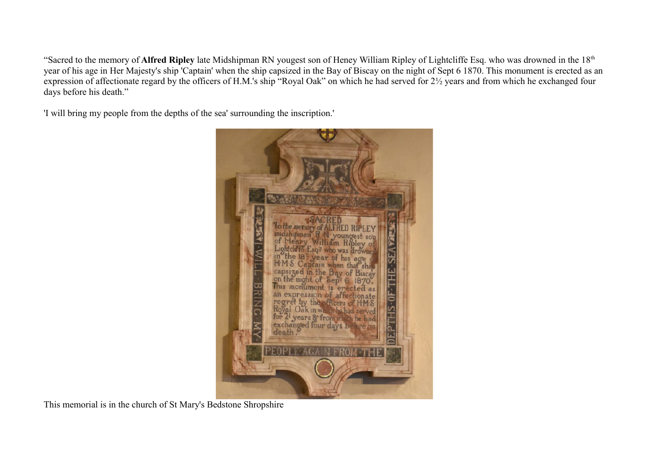"Sacred to the memory of **Alfred Ripley** late Midshipman RN yougest son of Heney William Ripley of Lightcliffe Esq. who was drowned in the 18th year of his age in Her Majesty's ship 'Captain' when the ship capsized in the Bay of Biscay on the night of Sept 6 1870. This monument is erected as an expression of affectionate regard by the officers of H.M.'s ship "Royal Oak" on which he had served for  $2\frac{1}{2}$  years and from which he exchanged four days before his death."

'I will bring my people from the depths of the sea' surrounding the inscription.'



This memorial is in the church of St Mary's Bedstone Shropshire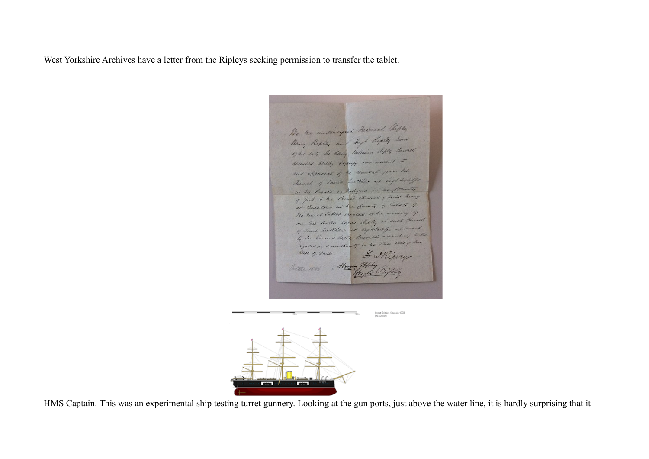West Yorkshire Archives have a letter from the Ripleys seeking permission to transfer the tablet.

We the underseyous Redered Reply the the undersequed victiments , Some<br>Henry Repley and theybe Repley Some<br>17 the late Si have thelevies diply because receiled hereby signify our accent to and approval of the removal from the Church of Saint hutther at begat caffe in the Parise of Walespace in the foundy I you to the Parise Church of Saint Mary at Bedstone in the Country of Salate ? The hunde Tablet erected to be memory of one late hotel aspect Rifley in such Church of Sanit healtheur at Lightelife apresent by the Showard Reply Surveyed a condity to the replace and are thouty on the shine side of Stell of paper. Harry althe 1886

Desat Eribain, Captain 1958<br>Millimedia



HMS Captain. This was an experimental ship testing turret gunnery. Looking at the gun ports, just above the water line, it is hardly surprising that it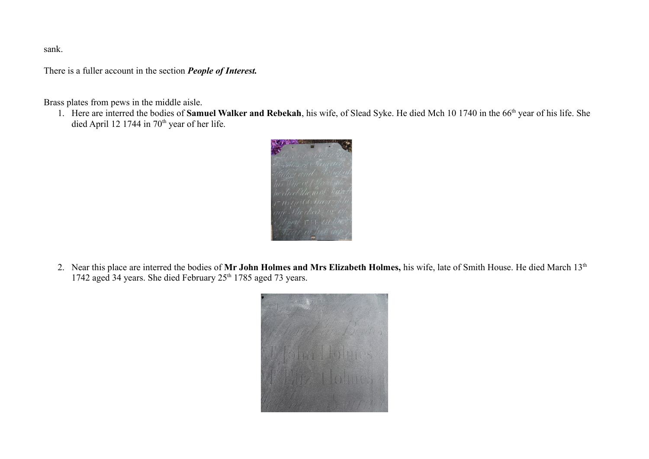sank.

There is a fuller account in the section *People of Interest.*

Brass plates from pews in the middle aisle.

1. Here are interred the bodies of **Samuel Walker and Rebekah**, his wife, of Slead Syke. He died Mch 10 1740 in the 66th year of his life. She died April 12 1744 in  $70<sup>th</sup>$  year of her life.



2. Near this place are interred the bodies of Mr John Holmes and Mrs Elizabeth Holmes, his wife, late of Smith House. He died March 13<sup>th</sup> 1742 aged 34 years. She died February  $25<sup>th</sup>$  1785 aged 73 years.

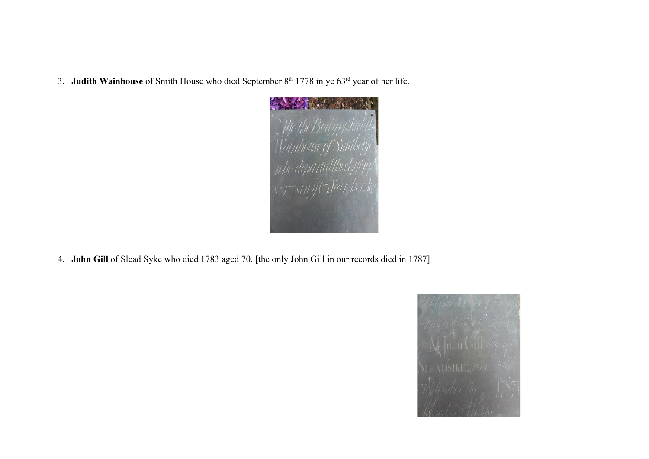3. **Judith Wainhouse** of Smith House who died September 8<sup>th</sup> 1778 in ye 63<sup>rd</sup> year of her life.



4. **John Gill** of Slead Syke who died 1783 aged 70. [the only John Gill in our records died in 1787]

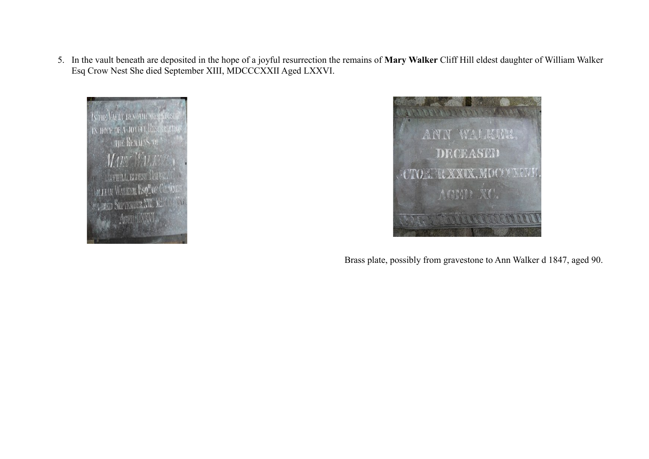5. In the vault beneath are deposited in the hope of a joyful resurrection the remains of **Mary Walker** Cliff Hill eldest daughter of William Walker Esq Crow Nest She died September XIII, MDCCCXXII Aged LXXVI.





Brass plate, possibly from gravestone to Ann Walker d 1847, aged 90.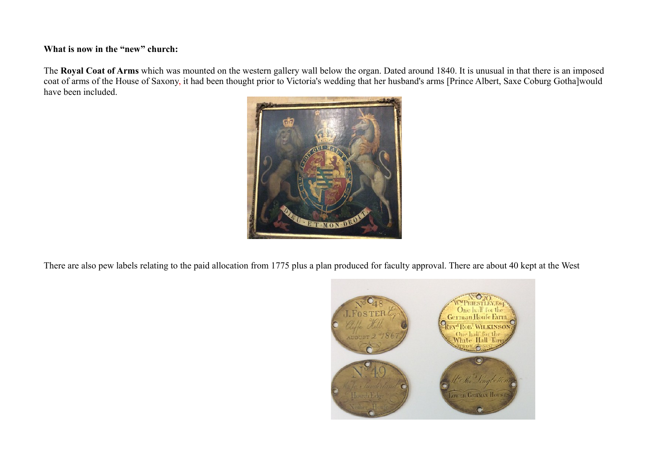#### **What is now in the "new" church:**

The **Royal Coat of Arms** which was mounted on the western gallery wall below the organ. Dated around 1840. It is unusual in that there is an imposed coat of arms of the House of Saxony, it had been thought prior to Victoria's wedding that her husband's arms [Prince Albert, Saxe Coburg Gotha]would have been included.



There are also pew labels relating to the paid allocation from 1775 plus a plan produced for faculty approval. There are about 40 kept at the West